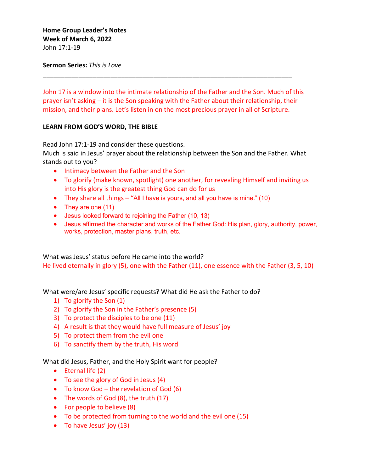## **Sermon Series:** *This is Love*

John 17 is a window into the intimate relationship of the Father and the Son. Much of this prayer isn't asking – it is the Son speaking with the Father about their relationship, their mission, and their plans. Let's listen in on the most precious prayer in all of Scripture.

\_\_\_\_\_\_\_\_\_\_\_\_\_\_\_\_\_\_\_\_\_\_\_\_\_\_\_\_\_\_\_\_\_\_\_\_\_\_\_\_\_\_\_\_\_\_\_\_\_\_\_\_\_\_\_\_\_\_\_\_\_\_\_\_\_\_\_\_\_\_

## **LEARN FROM GOD'S WORD, THE BIBLE**

Read John 17:1-19 and consider these questions.

Much is said in Jesus' prayer about the relationship between the Son and the Father. What stands out to you?

- Intimacy between the Father and the Son
- To glorify (make known, spotlight) one another, for revealing Himself and inviting us into His glory is the greatest thing God can do for us
- They share all things "All I have is yours, and all you have is mine." (10)
- They are one (11)
- Jesus looked forward to rejoining the Father (10, 13)
- Jesus affirmed the character and works of the Father God: His plan, glory, authority, power, works, protection, master plans, truth, etc.

What was Jesus' status before He came into the world? He lived eternally in glory (5), one with the Father (11), one essence with the Father (3, 5, 10)

What were/are Jesus' specific requests? What did He ask the Father to do?

- 1) To glorify the Son (1)
- 2) To glorify the Son in the Father's presence (5)
- 3) To protect the disciples to be one (11)
- 4) A result is that they would have full measure of Jesus' joy
- 5) To protect them from the evil one
- 6) To sanctify them by the truth, His word

What did Jesus, Father, and the Holy Spirit want for people?

- Eternal life (2)
- To see the glory of God in Jesus (4)
- To know God the revelation of God (6)
- The words of God (8), the truth (17)
- For people to believe (8)
- To be protected from turning to the world and the evil one (15)
- To have Jesus' joy (13)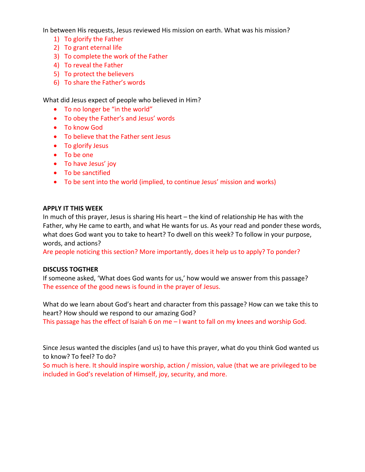In between His requests, Jesus reviewed His mission on earth. What was his mission?

- 1) To glorify the Father
- 2) To grant eternal life
- 3) To complete the work of the Father
- 4) To reveal the Father
- 5) To protect the believers
- 6) To share the Father's words

What did Jesus expect of people who believed in Him?

- To no longer be "in the world"
- To obey the Father's and Jesus' words
- To know God
- To believe that the Father sent Jesus
- To glorify Jesus
- To be one
- To have Jesus' joy
- To be sanctified
- To be sent into the world (implied, to continue Jesus' mission and works)

#### **APPLY IT THIS WEEK**

In much of this prayer, Jesus is sharing His heart – the kind of relationship He has with the Father, why He came to earth, and what He wants for us. As your read and ponder these words, what does God want you to take to heart? To dwell on this week? To follow in your purpose, words, and actions?

Are people noticing this section? More importantly, does it help us to apply? To ponder?

## **DISCUSS TOGTHER**

If someone asked, 'What does God wants for us,' how would we answer from this passage? The essence of the good news is found in the prayer of Jesus.

What do we learn about God's heart and character from this passage? How can we take this to heart? How should we respond to our amazing God?

This passage has the effect of Isaiah 6 on me – I want to fall on my knees and worship God.

Since Jesus wanted the disciples (and us) to have this prayer, what do you think God wanted us to know? To feel? To do?

So much is here. It should inspire worship, action / mission, value (that we are privileged to be included in God's revelation of Himself, joy, security, and more.